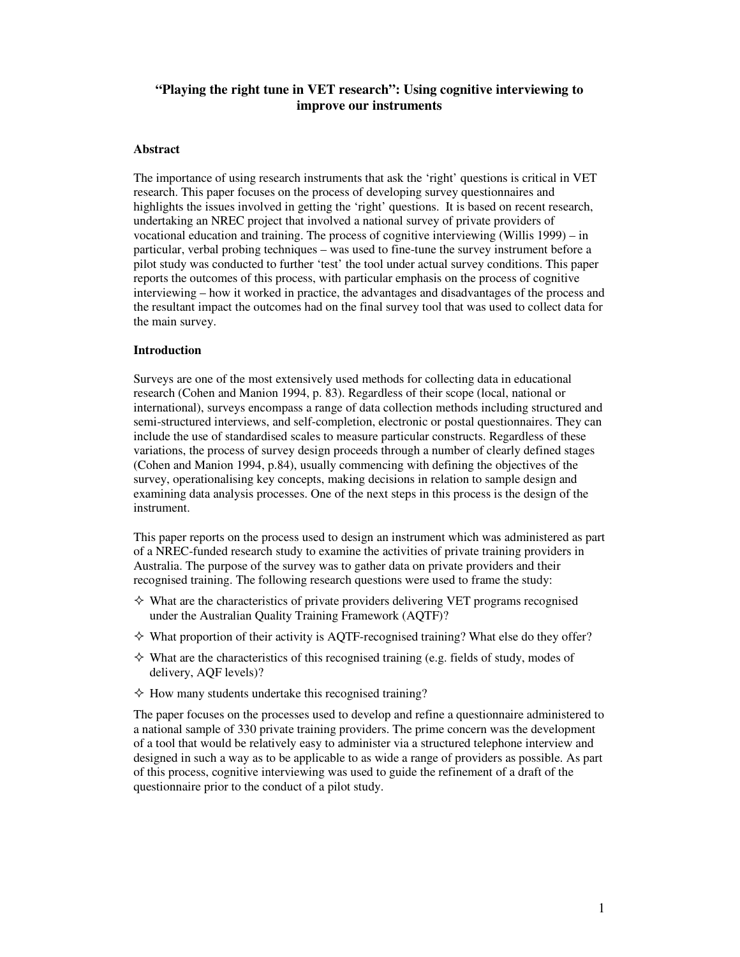# **"Playing the right tune in VET research": Using cognitive interviewing to improve our instruments**

#### **Abstract**

The importance of using research instruments that ask the 'right' questions is critical in VET research. This paper focuses on the process of developing survey questionnaires and highlights the issues involved in getting the 'right' questions. It is based on recent research, undertaking an NREC project that involved a national survey of private providers of vocational education and training. The process of cognitive interviewing (Willis 1999) – in particular, verbal probing techniques – was used to fine-tune the survey instrument before a pilot study was conducted to further 'test' the tool under actual survey conditions. This paper reports the outcomes of this process, with particular emphasis on the process of cognitive interviewing – how it worked in practice, the advantages and disadvantages of the process and the resultant impact the outcomes had on the final survey tool that was used to collect data for the main survey.

### **Introduction**

Surveys are one of the most extensively used methods for collecting data in educational research (Cohen and Manion 1994, p. 83). Regardless of their scope (local, national or international), surveys encompass a range of data collection methods including structured and semi-structured interviews, and self-completion, electronic or postal questionnaires. They can include the use of standardised scales to measure particular constructs. Regardless of these variations, the process of survey design proceeds through a number of clearly defined stages (Cohen and Manion 1994, p.84), usually commencing with defining the objectives of the survey, operationalising key concepts, making decisions in relation to sample design and examining data analysis processes. One of the next steps in this process is the design of the instrument.

This paper reports on the process used to design an instrument which was administered as part of a NREC-funded research study to examine the activities of private training providers in Australia. The purpose of the survey was to gather data on private providers and their recognised training. The following research questions were used to frame the study:

- $\diamond$  What are the characteristics of private providers delivering VET programs recognised under the Australian Quality Training Framework (AQTF)?
- $\diamond$  What proportion of their activity is AQTF-recognised training? What else do they offer?
- $\diamond$  What are the characteristics of this recognised training (e.g. fields of study, modes of delivery, AQF levels)?
- $\Diamond$  How many students undertake this recognised training?

The paper focuses on the processes used to develop and refine a questionnaire administered to a national sample of 330 private training providers. The prime concern was the development of a tool that would be relatively easy to administer via a structured telephone interview and designed in such a way as to be applicable to as wide a range of providers as possible. As part of this process, cognitive interviewing was used to guide the refinement of a draft of the questionnaire prior to the conduct of a pilot study.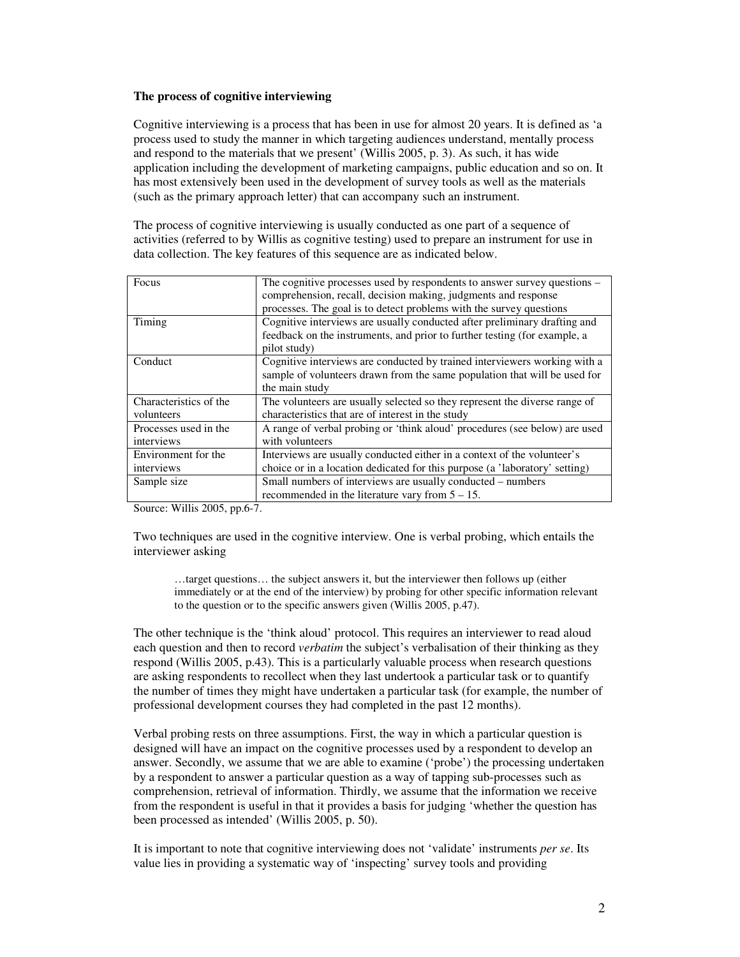### **The process of cognitive interviewing**

Cognitive interviewing is a process that has been in use for almost 20 years. It is defined as 'a process used to study the manner in which targeting audiences understand, mentally process and respond to the materials that we present' (Willis 2005, p. 3). As such, it has wide application including the development of marketing campaigns, public education and so on. It has most extensively been used in the development of survey tools as well as the materials (such as the primary approach letter) that can accompany such an instrument.

The process of cognitive interviewing is usually conducted as one part of a sequence of activities (referred to by Willis as cognitive testing) used to prepare an instrument for use in data collection. The key features of this sequence are as indicated below.

| Focus                  | The cognitive processes used by respondents to answer survey questions –    |
|------------------------|-----------------------------------------------------------------------------|
|                        | comprehension, recall, decision making, judgments and response              |
|                        | processes. The goal is to detect problems with the survey questions         |
| Timing                 | Cognitive interviews are usually conducted after preliminary drafting and   |
|                        | feedback on the instruments, and prior to further testing (for example, a   |
|                        | pilot study)                                                                |
| Conduct                | Cognitive interviews are conducted by trained interviewers working with a   |
|                        | sample of volunteers drawn from the same population that will be used for   |
|                        | the main study                                                              |
| Characteristics of the | The volunteers are usually selected so they represent the diverse range of  |
| volunteers             | characteristics that are of interest in the study                           |
| Processes used in the  | A range of verbal probing or 'think aloud' procedures (see below) are used  |
| interviews             | with volunteers                                                             |
| Environment for the    | Interviews are usually conducted either in a context of the volunteer's     |
| interviews             | choice or in a location dedicated for this purpose (a 'laboratory' setting) |
| Sample size            | Small numbers of interviews are usually conducted – numbers                 |
|                        | recommended in the literature vary from $5 - 15$ .                          |

Source: Willis 2005, pp.6-7.

Two techniques are used in the cognitive interview. One is verbal probing, which entails the interviewer asking

…target questions… the subject answers it, but the interviewer then follows up (either immediately or at the end of the interview) by probing for other specific information relevant to the question or to the specific answers given (Willis 2005, p.47).

The other technique is the 'think aloud' protocol. This requires an interviewer to read aloud each question and then to record *verbatim* the subject's verbalisation of their thinking as they respond (Willis 2005, p.43). This is a particularly valuable process when research questions are asking respondents to recollect when they last undertook a particular task or to quantify the number of times they might have undertaken a particular task (for example, the number of professional development courses they had completed in the past 12 months).

Verbal probing rests on three assumptions. First, the way in which a particular question is designed will have an impact on the cognitive processes used by a respondent to develop an answer. Secondly, we assume that we are able to examine ('probe') the processing undertaken by a respondent to answer a particular question as a way of tapping sub-processes such as comprehension, retrieval of information. Thirdly, we assume that the information we receive from the respondent is useful in that it provides a basis for judging 'whether the question has been processed as intended' (Willis 2005, p. 50).

It is important to note that cognitive interviewing does not 'validate' instruments *per se*. Its value lies in providing a systematic way of 'inspecting' survey tools and providing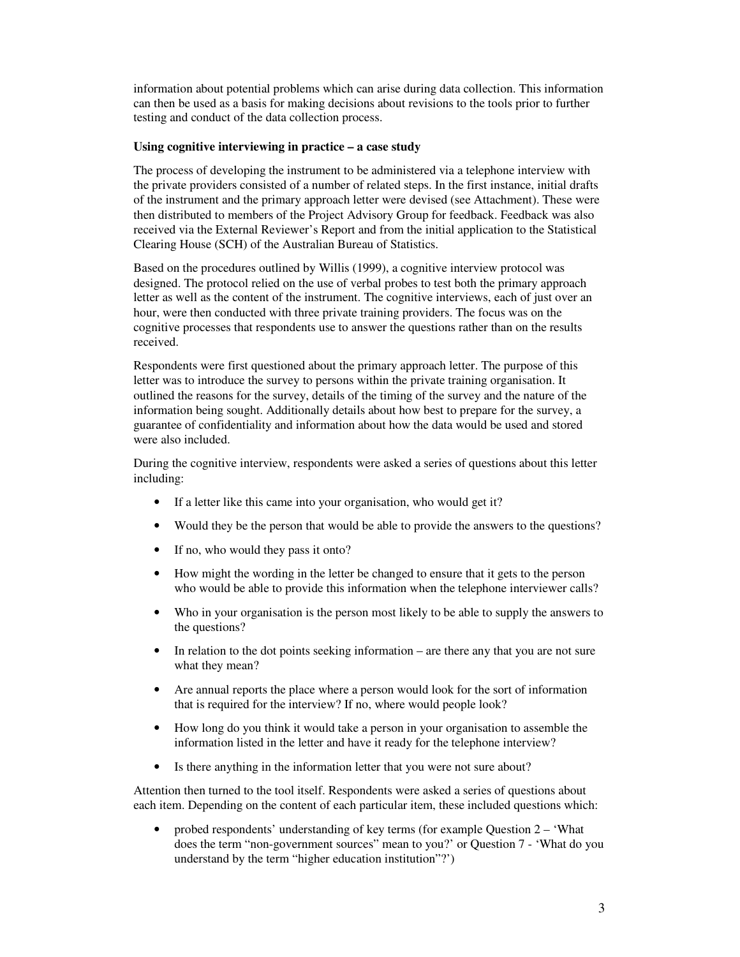information about potential problems which can arise during data collection. This information can then be used as a basis for making decisions about revisions to the tools prior to further testing and conduct of the data collection process.

### **Using cognitive interviewing in practice – a case study**

The process of developing the instrument to be administered via a telephone interview with the private providers consisted of a number of related steps. In the first instance, initial drafts of the instrument and the primary approach letter were devised (see Attachment). These were then distributed to members of the Project Advisory Group for feedback. Feedback was also received via the External Reviewer's Report and from the initial application to the Statistical Clearing House (SCH) of the Australian Bureau of Statistics.

Based on the procedures outlined by Willis (1999), a cognitive interview protocol was designed. The protocol relied on the use of verbal probes to test both the primary approach letter as well as the content of the instrument. The cognitive interviews, each of just over an hour, were then conducted with three private training providers. The focus was on the cognitive processes that respondents use to answer the questions rather than on the results received.

Respondents were first questioned about the primary approach letter. The purpose of this letter was to introduce the survey to persons within the private training organisation. It outlined the reasons for the survey, details of the timing of the survey and the nature of the information being sought. Additionally details about how best to prepare for the survey, a guarantee of confidentiality and information about how the data would be used and stored were also included.

During the cognitive interview, respondents were asked a series of questions about this letter including:

- If a letter like this came into your organisation, who would get it?
- Would they be the person that would be able to provide the answers to the questions?
- If no, who would they pass it onto?
- How might the wording in the letter be changed to ensure that it gets to the person who would be able to provide this information when the telephone interviewer calls?
- Who in your organisation is the person most likely to be able to supply the answers to the questions?
- In relation to the dot points seeking information are there any that you are not sure what they mean?
- Are annual reports the place where a person would look for the sort of information that is required for the interview? If no, where would people look?
- How long do you think it would take a person in your organisation to assemble the information listed in the letter and have it ready for the telephone interview?
- Is there anything in the information letter that you were not sure about?

Attention then turned to the tool itself. Respondents were asked a series of questions about each item. Depending on the content of each particular item, these included questions which:

• probed respondents' understanding of key terms (for example Question 2 – 'What does the term "non-government sources" mean to you?' or Question 7 - 'What do you understand by the term "higher education institution"?')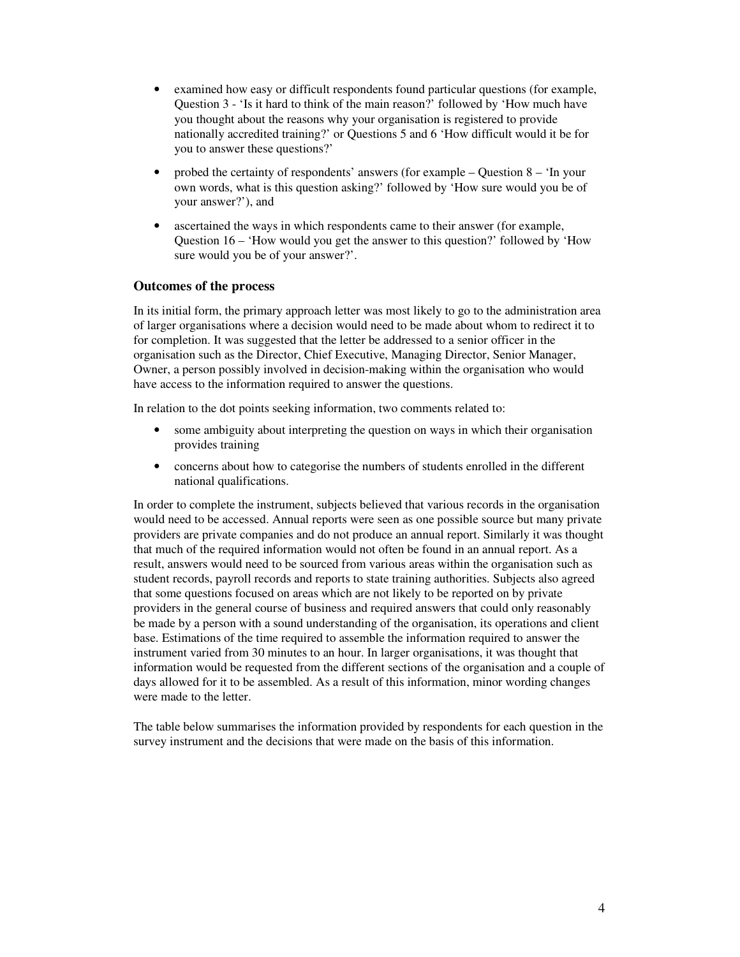- examined how easy or difficult respondents found particular questions (for example, Question 3 - 'Is it hard to think of the main reason?' followed by 'How much have you thought about the reasons why your organisation is registered to provide nationally accredited training?' or Questions 5 and 6 'How difficult would it be for you to answer these questions?'
- probed the certainty of respondents' answers (for example Question 8 'In your own words, what is this question asking?' followed by 'How sure would you be of your answer?'), and
- ascertained the ways in which respondents came to their answer (for example, Question 16 – 'How would you get the answer to this question?' followed by 'How sure would you be of your answer?'.

# **Outcomes of the process**

In its initial form, the primary approach letter was most likely to go to the administration area of larger organisations where a decision would need to be made about whom to redirect it to for completion. It was suggested that the letter be addressed to a senior officer in the organisation such as the Director, Chief Executive, Managing Director, Senior Manager, Owner, a person possibly involved in decision-making within the organisation who would have access to the information required to answer the questions.

In relation to the dot points seeking information, two comments related to:

- some ambiguity about interpreting the question on ways in which their organisation provides training
- concerns about how to categorise the numbers of students enrolled in the different national qualifications.

In order to complete the instrument, subjects believed that various records in the organisation would need to be accessed. Annual reports were seen as one possible source but many private providers are private companies and do not produce an annual report. Similarly it was thought that much of the required information would not often be found in an annual report. As a result, answers would need to be sourced from various areas within the organisation such as student records, payroll records and reports to state training authorities. Subjects also agreed that some questions focused on areas which are not likely to be reported on by private providers in the general course of business and required answers that could only reasonably be made by a person with a sound understanding of the organisation, its operations and client base. Estimations of the time required to assemble the information required to answer the instrument varied from 30 minutes to an hour. In larger organisations, it was thought that information would be requested from the different sections of the organisation and a couple of days allowed for it to be assembled. As a result of this information, minor wording changes were made to the letter.

The table below summarises the information provided by respondents for each question in the survey instrument and the decisions that were made on the basis of this information.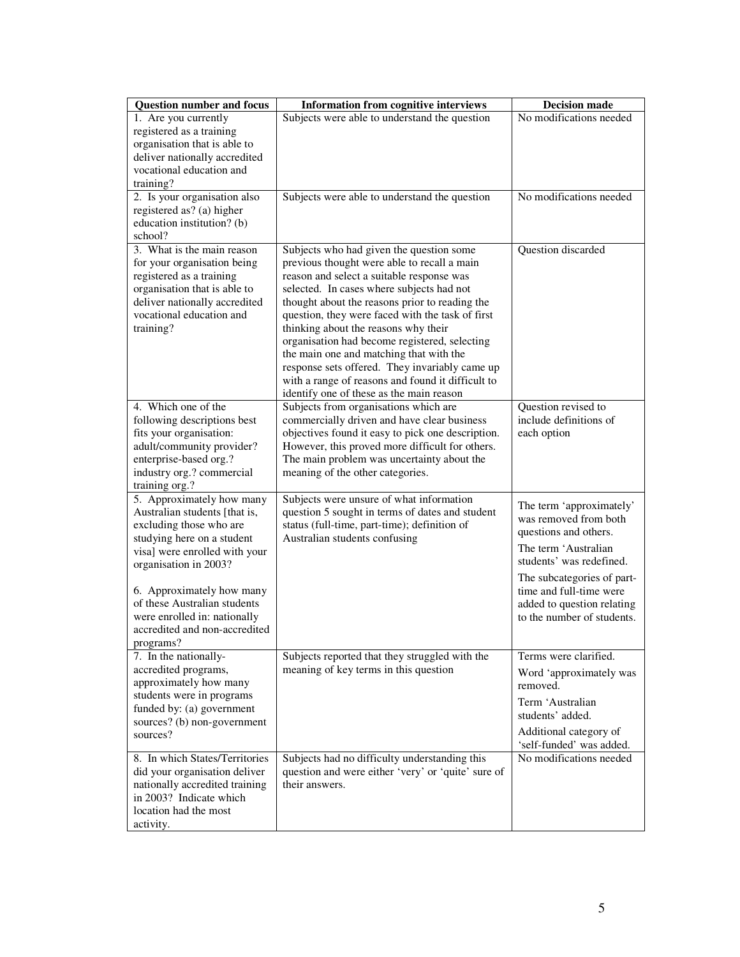| Subjects were able to understand the question<br>1. Are you currently<br>registered as a training<br>organisation that is able to<br>deliver nationally accredited<br>vocational education and<br>training?<br>2. Is your organisation also<br>No modifications needed<br>Subjects were able to understand the question<br>registered as? (a) higher<br>education institution? (b)<br>school?<br>3. What is the main reason<br>Question discarded<br>Subjects who had given the question some<br>for your organisation being<br>previous thought were able to recall a main<br>registered as a training<br>reason and select a suitable response was<br>organisation that is able to<br>selected. In cases where subjects had not<br>deliver nationally accredited<br>thought about the reasons prior to reading the<br>vocational education and<br>question, they were faced with the task of first<br>training?<br>thinking about the reasons why their<br>organisation had become registered, selecting<br>the main one and matching that with the<br>response sets offered. They invariably came up<br>with a range of reasons and found it difficult to<br>identify one of these as the main reason<br>4. Which one of the<br>Subjects from organisations which are<br>Question revised to<br>include definitions of<br>following descriptions best<br>commercially driven and have clear business<br>fits your organisation:<br>objectives found it easy to pick one description.<br>each option<br>adult/community provider?<br>However, this proved more difficult for others.<br>enterprise-based org.?<br>The main problem was uncertainty about the<br>industry org.? commercial<br>meaning of the other categories.<br>training org.?<br>5. Approximately how many<br>Subjects were unsure of what information<br>The term 'approximately'<br>Australian students [that is,<br>question 5 sought in terms of dates and student<br>was removed from both<br>excluding those who are<br>status (full-time, part-time); definition of<br>questions and others.<br>studying here on a student<br>Australian students confusing<br>The term 'Australian<br>visa] were enrolled with your<br>students' was redefined.<br>organisation in 2003?<br>The subcategories of part-<br>6. Approximately how many<br>time and full-time were<br>of these Australian students<br>added to question relating<br>were enrolled in: nationally<br>to the number of students.<br>accredited and non-accredited<br>programs?<br>7. In the nationally-<br>Subjects reported that they struggled with the<br>Terms were clarified.<br>accredited programs,<br>meaning of key terms in this question<br>Word 'approximately was<br>approximately how many<br>removed.<br>students were in programs<br>Term 'Australian<br>funded by: (a) government<br>students' added.<br>sources? (b) non-government<br>Additional category of<br>sources?<br>'self-funded' was added.<br>8. In which States/Territories<br>Subjects had no difficulty understanding this<br>No modifications needed<br>question and were either 'very' or 'quite' sure of<br>did your organisation deliver<br>nationally accredited training<br>their answers.<br>in 2003? Indicate which<br>location had the most<br>activity. | <b>Question number and focus</b> | <b>Information from cognitive interviews</b> | <b>Decision made</b>    |
|-----------------------------------------------------------------------------------------------------------------------------------------------------------------------------------------------------------------------------------------------------------------------------------------------------------------------------------------------------------------------------------------------------------------------------------------------------------------------------------------------------------------------------------------------------------------------------------------------------------------------------------------------------------------------------------------------------------------------------------------------------------------------------------------------------------------------------------------------------------------------------------------------------------------------------------------------------------------------------------------------------------------------------------------------------------------------------------------------------------------------------------------------------------------------------------------------------------------------------------------------------------------------------------------------------------------------------------------------------------------------------------------------------------------------------------------------------------------------------------------------------------------------------------------------------------------------------------------------------------------------------------------------------------------------------------------------------------------------------------------------------------------------------------------------------------------------------------------------------------------------------------------------------------------------------------------------------------------------------------------------------------------------------------------------------------------------------------------------------------------------------------------------------------------------------------------------------------------------------------------------------------------------------------------------------------------------------------------------------------------------------------------------------------------------------------------------------------------------------------------------------------------------------------------------------------------------------------------------------------------------------------------------------------------------------------------------------------------------------------------------------------------------------------------------------------------------------------------------------------------------------------------------------------------------------------------------------------------------------------------------------------------------------------------------------------------------------------------------------------------------------------------------------------------------------------------------------------------------------------------------------------------------------------------|----------------------------------|----------------------------------------------|-------------------------|
|                                                                                                                                                                                                                                                                                                                                                                                                                                                                                                                                                                                                                                                                                                                                                                                                                                                                                                                                                                                                                                                                                                                                                                                                                                                                                                                                                                                                                                                                                                                                                                                                                                                                                                                                                                                                                                                                                                                                                                                                                                                                                                                                                                                                                                                                                                                                                                                                                                                                                                                                                                                                                                                                                                                                                                                                                                                                                                                                                                                                                                                                                                                                                                                                                                                                                         |                                  |                                              | No modifications needed |
|                                                                                                                                                                                                                                                                                                                                                                                                                                                                                                                                                                                                                                                                                                                                                                                                                                                                                                                                                                                                                                                                                                                                                                                                                                                                                                                                                                                                                                                                                                                                                                                                                                                                                                                                                                                                                                                                                                                                                                                                                                                                                                                                                                                                                                                                                                                                                                                                                                                                                                                                                                                                                                                                                                                                                                                                                                                                                                                                                                                                                                                                                                                                                                                                                                                                                         |                                  |                                              |                         |
|                                                                                                                                                                                                                                                                                                                                                                                                                                                                                                                                                                                                                                                                                                                                                                                                                                                                                                                                                                                                                                                                                                                                                                                                                                                                                                                                                                                                                                                                                                                                                                                                                                                                                                                                                                                                                                                                                                                                                                                                                                                                                                                                                                                                                                                                                                                                                                                                                                                                                                                                                                                                                                                                                                                                                                                                                                                                                                                                                                                                                                                                                                                                                                                                                                                                                         |                                  |                                              |                         |
|                                                                                                                                                                                                                                                                                                                                                                                                                                                                                                                                                                                                                                                                                                                                                                                                                                                                                                                                                                                                                                                                                                                                                                                                                                                                                                                                                                                                                                                                                                                                                                                                                                                                                                                                                                                                                                                                                                                                                                                                                                                                                                                                                                                                                                                                                                                                                                                                                                                                                                                                                                                                                                                                                                                                                                                                                                                                                                                                                                                                                                                                                                                                                                                                                                                                                         |                                  |                                              |                         |
|                                                                                                                                                                                                                                                                                                                                                                                                                                                                                                                                                                                                                                                                                                                                                                                                                                                                                                                                                                                                                                                                                                                                                                                                                                                                                                                                                                                                                                                                                                                                                                                                                                                                                                                                                                                                                                                                                                                                                                                                                                                                                                                                                                                                                                                                                                                                                                                                                                                                                                                                                                                                                                                                                                                                                                                                                                                                                                                                                                                                                                                                                                                                                                                                                                                                                         |                                  |                                              |                         |
|                                                                                                                                                                                                                                                                                                                                                                                                                                                                                                                                                                                                                                                                                                                                                                                                                                                                                                                                                                                                                                                                                                                                                                                                                                                                                                                                                                                                                                                                                                                                                                                                                                                                                                                                                                                                                                                                                                                                                                                                                                                                                                                                                                                                                                                                                                                                                                                                                                                                                                                                                                                                                                                                                                                                                                                                                                                                                                                                                                                                                                                                                                                                                                                                                                                                                         |                                  |                                              |                         |
|                                                                                                                                                                                                                                                                                                                                                                                                                                                                                                                                                                                                                                                                                                                                                                                                                                                                                                                                                                                                                                                                                                                                                                                                                                                                                                                                                                                                                                                                                                                                                                                                                                                                                                                                                                                                                                                                                                                                                                                                                                                                                                                                                                                                                                                                                                                                                                                                                                                                                                                                                                                                                                                                                                                                                                                                                                                                                                                                                                                                                                                                                                                                                                                                                                                                                         |                                  |                                              |                         |
|                                                                                                                                                                                                                                                                                                                                                                                                                                                                                                                                                                                                                                                                                                                                                                                                                                                                                                                                                                                                                                                                                                                                                                                                                                                                                                                                                                                                                                                                                                                                                                                                                                                                                                                                                                                                                                                                                                                                                                                                                                                                                                                                                                                                                                                                                                                                                                                                                                                                                                                                                                                                                                                                                                                                                                                                                                                                                                                                                                                                                                                                                                                                                                                                                                                                                         |                                  |                                              |                         |
|                                                                                                                                                                                                                                                                                                                                                                                                                                                                                                                                                                                                                                                                                                                                                                                                                                                                                                                                                                                                                                                                                                                                                                                                                                                                                                                                                                                                                                                                                                                                                                                                                                                                                                                                                                                                                                                                                                                                                                                                                                                                                                                                                                                                                                                                                                                                                                                                                                                                                                                                                                                                                                                                                                                                                                                                                                                                                                                                                                                                                                                                                                                                                                                                                                                                                         |                                  |                                              |                         |
|                                                                                                                                                                                                                                                                                                                                                                                                                                                                                                                                                                                                                                                                                                                                                                                                                                                                                                                                                                                                                                                                                                                                                                                                                                                                                                                                                                                                                                                                                                                                                                                                                                                                                                                                                                                                                                                                                                                                                                                                                                                                                                                                                                                                                                                                                                                                                                                                                                                                                                                                                                                                                                                                                                                                                                                                                                                                                                                                                                                                                                                                                                                                                                                                                                                                                         |                                  |                                              |                         |
|                                                                                                                                                                                                                                                                                                                                                                                                                                                                                                                                                                                                                                                                                                                                                                                                                                                                                                                                                                                                                                                                                                                                                                                                                                                                                                                                                                                                                                                                                                                                                                                                                                                                                                                                                                                                                                                                                                                                                                                                                                                                                                                                                                                                                                                                                                                                                                                                                                                                                                                                                                                                                                                                                                                                                                                                                                                                                                                                                                                                                                                                                                                                                                                                                                                                                         |                                  |                                              |                         |
|                                                                                                                                                                                                                                                                                                                                                                                                                                                                                                                                                                                                                                                                                                                                                                                                                                                                                                                                                                                                                                                                                                                                                                                                                                                                                                                                                                                                                                                                                                                                                                                                                                                                                                                                                                                                                                                                                                                                                                                                                                                                                                                                                                                                                                                                                                                                                                                                                                                                                                                                                                                                                                                                                                                                                                                                                                                                                                                                                                                                                                                                                                                                                                                                                                                                                         |                                  |                                              |                         |
|                                                                                                                                                                                                                                                                                                                                                                                                                                                                                                                                                                                                                                                                                                                                                                                                                                                                                                                                                                                                                                                                                                                                                                                                                                                                                                                                                                                                                                                                                                                                                                                                                                                                                                                                                                                                                                                                                                                                                                                                                                                                                                                                                                                                                                                                                                                                                                                                                                                                                                                                                                                                                                                                                                                                                                                                                                                                                                                                                                                                                                                                                                                                                                                                                                                                                         |                                  |                                              |                         |
|                                                                                                                                                                                                                                                                                                                                                                                                                                                                                                                                                                                                                                                                                                                                                                                                                                                                                                                                                                                                                                                                                                                                                                                                                                                                                                                                                                                                                                                                                                                                                                                                                                                                                                                                                                                                                                                                                                                                                                                                                                                                                                                                                                                                                                                                                                                                                                                                                                                                                                                                                                                                                                                                                                                                                                                                                                                                                                                                                                                                                                                                                                                                                                                                                                                                                         |                                  |                                              |                         |
|                                                                                                                                                                                                                                                                                                                                                                                                                                                                                                                                                                                                                                                                                                                                                                                                                                                                                                                                                                                                                                                                                                                                                                                                                                                                                                                                                                                                                                                                                                                                                                                                                                                                                                                                                                                                                                                                                                                                                                                                                                                                                                                                                                                                                                                                                                                                                                                                                                                                                                                                                                                                                                                                                                                                                                                                                                                                                                                                                                                                                                                                                                                                                                                                                                                                                         |                                  |                                              |                         |
|                                                                                                                                                                                                                                                                                                                                                                                                                                                                                                                                                                                                                                                                                                                                                                                                                                                                                                                                                                                                                                                                                                                                                                                                                                                                                                                                                                                                                                                                                                                                                                                                                                                                                                                                                                                                                                                                                                                                                                                                                                                                                                                                                                                                                                                                                                                                                                                                                                                                                                                                                                                                                                                                                                                                                                                                                                                                                                                                                                                                                                                                                                                                                                                                                                                                                         |                                  |                                              |                         |
|                                                                                                                                                                                                                                                                                                                                                                                                                                                                                                                                                                                                                                                                                                                                                                                                                                                                                                                                                                                                                                                                                                                                                                                                                                                                                                                                                                                                                                                                                                                                                                                                                                                                                                                                                                                                                                                                                                                                                                                                                                                                                                                                                                                                                                                                                                                                                                                                                                                                                                                                                                                                                                                                                                                                                                                                                                                                                                                                                                                                                                                                                                                                                                                                                                                                                         |                                  |                                              |                         |
|                                                                                                                                                                                                                                                                                                                                                                                                                                                                                                                                                                                                                                                                                                                                                                                                                                                                                                                                                                                                                                                                                                                                                                                                                                                                                                                                                                                                                                                                                                                                                                                                                                                                                                                                                                                                                                                                                                                                                                                                                                                                                                                                                                                                                                                                                                                                                                                                                                                                                                                                                                                                                                                                                                                                                                                                                                                                                                                                                                                                                                                                                                                                                                                                                                                                                         |                                  |                                              |                         |
|                                                                                                                                                                                                                                                                                                                                                                                                                                                                                                                                                                                                                                                                                                                                                                                                                                                                                                                                                                                                                                                                                                                                                                                                                                                                                                                                                                                                                                                                                                                                                                                                                                                                                                                                                                                                                                                                                                                                                                                                                                                                                                                                                                                                                                                                                                                                                                                                                                                                                                                                                                                                                                                                                                                                                                                                                                                                                                                                                                                                                                                                                                                                                                                                                                                                                         |                                  |                                              |                         |
|                                                                                                                                                                                                                                                                                                                                                                                                                                                                                                                                                                                                                                                                                                                                                                                                                                                                                                                                                                                                                                                                                                                                                                                                                                                                                                                                                                                                                                                                                                                                                                                                                                                                                                                                                                                                                                                                                                                                                                                                                                                                                                                                                                                                                                                                                                                                                                                                                                                                                                                                                                                                                                                                                                                                                                                                                                                                                                                                                                                                                                                                                                                                                                                                                                                                                         |                                  |                                              |                         |
|                                                                                                                                                                                                                                                                                                                                                                                                                                                                                                                                                                                                                                                                                                                                                                                                                                                                                                                                                                                                                                                                                                                                                                                                                                                                                                                                                                                                                                                                                                                                                                                                                                                                                                                                                                                                                                                                                                                                                                                                                                                                                                                                                                                                                                                                                                                                                                                                                                                                                                                                                                                                                                                                                                                                                                                                                                                                                                                                                                                                                                                                                                                                                                                                                                                                                         |                                  |                                              |                         |
|                                                                                                                                                                                                                                                                                                                                                                                                                                                                                                                                                                                                                                                                                                                                                                                                                                                                                                                                                                                                                                                                                                                                                                                                                                                                                                                                                                                                                                                                                                                                                                                                                                                                                                                                                                                                                                                                                                                                                                                                                                                                                                                                                                                                                                                                                                                                                                                                                                                                                                                                                                                                                                                                                                                                                                                                                                                                                                                                                                                                                                                                                                                                                                                                                                                                                         |                                  |                                              |                         |
|                                                                                                                                                                                                                                                                                                                                                                                                                                                                                                                                                                                                                                                                                                                                                                                                                                                                                                                                                                                                                                                                                                                                                                                                                                                                                                                                                                                                                                                                                                                                                                                                                                                                                                                                                                                                                                                                                                                                                                                                                                                                                                                                                                                                                                                                                                                                                                                                                                                                                                                                                                                                                                                                                                                                                                                                                                                                                                                                                                                                                                                                                                                                                                                                                                                                                         |                                  |                                              |                         |
|                                                                                                                                                                                                                                                                                                                                                                                                                                                                                                                                                                                                                                                                                                                                                                                                                                                                                                                                                                                                                                                                                                                                                                                                                                                                                                                                                                                                                                                                                                                                                                                                                                                                                                                                                                                                                                                                                                                                                                                                                                                                                                                                                                                                                                                                                                                                                                                                                                                                                                                                                                                                                                                                                                                                                                                                                                                                                                                                                                                                                                                                                                                                                                                                                                                                                         |                                  |                                              |                         |
|                                                                                                                                                                                                                                                                                                                                                                                                                                                                                                                                                                                                                                                                                                                                                                                                                                                                                                                                                                                                                                                                                                                                                                                                                                                                                                                                                                                                                                                                                                                                                                                                                                                                                                                                                                                                                                                                                                                                                                                                                                                                                                                                                                                                                                                                                                                                                                                                                                                                                                                                                                                                                                                                                                                                                                                                                                                                                                                                                                                                                                                                                                                                                                                                                                                                                         |                                  |                                              |                         |
|                                                                                                                                                                                                                                                                                                                                                                                                                                                                                                                                                                                                                                                                                                                                                                                                                                                                                                                                                                                                                                                                                                                                                                                                                                                                                                                                                                                                                                                                                                                                                                                                                                                                                                                                                                                                                                                                                                                                                                                                                                                                                                                                                                                                                                                                                                                                                                                                                                                                                                                                                                                                                                                                                                                                                                                                                                                                                                                                                                                                                                                                                                                                                                                                                                                                                         |                                  |                                              |                         |
|                                                                                                                                                                                                                                                                                                                                                                                                                                                                                                                                                                                                                                                                                                                                                                                                                                                                                                                                                                                                                                                                                                                                                                                                                                                                                                                                                                                                                                                                                                                                                                                                                                                                                                                                                                                                                                                                                                                                                                                                                                                                                                                                                                                                                                                                                                                                                                                                                                                                                                                                                                                                                                                                                                                                                                                                                                                                                                                                                                                                                                                                                                                                                                                                                                                                                         |                                  |                                              |                         |
|                                                                                                                                                                                                                                                                                                                                                                                                                                                                                                                                                                                                                                                                                                                                                                                                                                                                                                                                                                                                                                                                                                                                                                                                                                                                                                                                                                                                                                                                                                                                                                                                                                                                                                                                                                                                                                                                                                                                                                                                                                                                                                                                                                                                                                                                                                                                                                                                                                                                                                                                                                                                                                                                                                                                                                                                                                                                                                                                                                                                                                                                                                                                                                                                                                                                                         |                                  |                                              |                         |
|                                                                                                                                                                                                                                                                                                                                                                                                                                                                                                                                                                                                                                                                                                                                                                                                                                                                                                                                                                                                                                                                                                                                                                                                                                                                                                                                                                                                                                                                                                                                                                                                                                                                                                                                                                                                                                                                                                                                                                                                                                                                                                                                                                                                                                                                                                                                                                                                                                                                                                                                                                                                                                                                                                                                                                                                                                                                                                                                                                                                                                                                                                                                                                                                                                                                                         |                                  |                                              |                         |
|                                                                                                                                                                                                                                                                                                                                                                                                                                                                                                                                                                                                                                                                                                                                                                                                                                                                                                                                                                                                                                                                                                                                                                                                                                                                                                                                                                                                                                                                                                                                                                                                                                                                                                                                                                                                                                                                                                                                                                                                                                                                                                                                                                                                                                                                                                                                                                                                                                                                                                                                                                                                                                                                                                                                                                                                                                                                                                                                                                                                                                                                                                                                                                                                                                                                                         |                                  |                                              |                         |
|                                                                                                                                                                                                                                                                                                                                                                                                                                                                                                                                                                                                                                                                                                                                                                                                                                                                                                                                                                                                                                                                                                                                                                                                                                                                                                                                                                                                                                                                                                                                                                                                                                                                                                                                                                                                                                                                                                                                                                                                                                                                                                                                                                                                                                                                                                                                                                                                                                                                                                                                                                                                                                                                                                                                                                                                                                                                                                                                                                                                                                                                                                                                                                                                                                                                                         |                                  |                                              |                         |
|                                                                                                                                                                                                                                                                                                                                                                                                                                                                                                                                                                                                                                                                                                                                                                                                                                                                                                                                                                                                                                                                                                                                                                                                                                                                                                                                                                                                                                                                                                                                                                                                                                                                                                                                                                                                                                                                                                                                                                                                                                                                                                                                                                                                                                                                                                                                                                                                                                                                                                                                                                                                                                                                                                                                                                                                                                                                                                                                                                                                                                                                                                                                                                                                                                                                                         |                                  |                                              |                         |
|                                                                                                                                                                                                                                                                                                                                                                                                                                                                                                                                                                                                                                                                                                                                                                                                                                                                                                                                                                                                                                                                                                                                                                                                                                                                                                                                                                                                                                                                                                                                                                                                                                                                                                                                                                                                                                                                                                                                                                                                                                                                                                                                                                                                                                                                                                                                                                                                                                                                                                                                                                                                                                                                                                                                                                                                                                                                                                                                                                                                                                                                                                                                                                                                                                                                                         |                                  |                                              |                         |
|                                                                                                                                                                                                                                                                                                                                                                                                                                                                                                                                                                                                                                                                                                                                                                                                                                                                                                                                                                                                                                                                                                                                                                                                                                                                                                                                                                                                                                                                                                                                                                                                                                                                                                                                                                                                                                                                                                                                                                                                                                                                                                                                                                                                                                                                                                                                                                                                                                                                                                                                                                                                                                                                                                                                                                                                                                                                                                                                                                                                                                                                                                                                                                                                                                                                                         |                                  |                                              |                         |
|                                                                                                                                                                                                                                                                                                                                                                                                                                                                                                                                                                                                                                                                                                                                                                                                                                                                                                                                                                                                                                                                                                                                                                                                                                                                                                                                                                                                                                                                                                                                                                                                                                                                                                                                                                                                                                                                                                                                                                                                                                                                                                                                                                                                                                                                                                                                                                                                                                                                                                                                                                                                                                                                                                                                                                                                                                                                                                                                                                                                                                                                                                                                                                                                                                                                                         |                                  |                                              |                         |
|                                                                                                                                                                                                                                                                                                                                                                                                                                                                                                                                                                                                                                                                                                                                                                                                                                                                                                                                                                                                                                                                                                                                                                                                                                                                                                                                                                                                                                                                                                                                                                                                                                                                                                                                                                                                                                                                                                                                                                                                                                                                                                                                                                                                                                                                                                                                                                                                                                                                                                                                                                                                                                                                                                                                                                                                                                                                                                                                                                                                                                                                                                                                                                                                                                                                                         |                                  |                                              |                         |
|                                                                                                                                                                                                                                                                                                                                                                                                                                                                                                                                                                                                                                                                                                                                                                                                                                                                                                                                                                                                                                                                                                                                                                                                                                                                                                                                                                                                                                                                                                                                                                                                                                                                                                                                                                                                                                                                                                                                                                                                                                                                                                                                                                                                                                                                                                                                                                                                                                                                                                                                                                                                                                                                                                                                                                                                                                                                                                                                                                                                                                                                                                                                                                                                                                                                                         |                                  |                                              |                         |
|                                                                                                                                                                                                                                                                                                                                                                                                                                                                                                                                                                                                                                                                                                                                                                                                                                                                                                                                                                                                                                                                                                                                                                                                                                                                                                                                                                                                                                                                                                                                                                                                                                                                                                                                                                                                                                                                                                                                                                                                                                                                                                                                                                                                                                                                                                                                                                                                                                                                                                                                                                                                                                                                                                                                                                                                                                                                                                                                                                                                                                                                                                                                                                                                                                                                                         |                                  |                                              |                         |
|                                                                                                                                                                                                                                                                                                                                                                                                                                                                                                                                                                                                                                                                                                                                                                                                                                                                                                                                                                                                                                                                                                                                                                                                                                                                                                                                                                                                                                                                                                                                                                                                                                                                                                                                                                                                                                                                                                                                                                                                                                                                                                                                                                                                                                                                                                                                                                                                                                                                                                                                                                                                                                                                                                                                                                                                                                                                                                                                                                                                                                                                                                                                                                                                                                                                                         |                                  |                                              |                         |
|                                                                                                                                                                                                                                                                                                                                                                                                                                                                                                                                                                                                                                                                                                                                                                                                                                                                                                                                                                                                                                                                                                                                                                                                                                                                                                                                                                                                                                                                                                                                                                                                                                                                                                                                                                                                                                                                                                                                                                                                                                                                                                                                                                                                                                                                                                                                                                                                                                                                                                                                                                                                                                                                                                                                                                                                                                                                                                                                                                                                                                                                                                                                                                                                                                                                                         |                                  |                                              |                         |
|                                                                                                                                                                                                                                                                                                                                                                                                                                                                                                                                                                                                                                                                                                                                                                                                                                                                                                                                                                                                                                                                                                                                                                                                                                                                                                                                                                                                                                                                                                                                                                                                                                                                                                                                                                                                                                                                                                                                                                                                                                                                                                                                                                                                                                                                                                                                                                                                                                                                                                                                                                                                                                                                                                                                                                                                                                                                                                                                                                                                                                                                                                                                                                                                                                                                                         |                                  |                                              |                         |
|                                                                                                                                                                                                                                                                                                                                                                                                                                                                                                                                                                                                                                                                                                                                                                                                                                                                                                                                                                                                                                                                                                                                                                                                                                                                                                                                                                                                                                                                                                                                                                                                                                                                                                                                                                                                                                                                                                                                                                                                                                                                                                                                                                                                                                                                                                                                                                                                                                                                                                                                                                                                                                                                                                                                                                                                                                                                                                                                                                                                                                                                                                                                                                                                                                                                                         |                                  |                                              |                         |
|                                                                                                                                                                                                                                                                                                                                                                                                                                                                                                                                                                                                                                                                                                                                                                                                                                                                                                                                                                                                                                                                                                                                                                                                                                                                                                                                                                                                                                                                                                                                                                                                                                                                                                                                                                                                                                                                                                                                                                                                                                                                                                                                                                                                                                                                                                                                                                                                                                                                                                                                                                                                                                                                                                                                                                                                                                                                                                                                                                                                                                                                                                                                                                                                                                                                                         |                                  |                                              |                         |
|                                                                                                                                                                                                                                                                                                                                                                                                                                                                                                                                                                                                                                                                                                                                                                                                                                                                                                                                                                                                                                                                                                                                                                                                                                                                                                                                                                                                                                                                                                                                                                                                                                                                                                                                                                                                                                                                                                                                                                                                                                                                                                                                                                                                                                                                                                                                                                                                                                                                                                                                                                                                                                                                                                                                                                                                                                                                                                                                                                                                                                                                                                                                                                                                                                                                                         |                                  |                                              |                         |
|                                                                                                                                                                                                                                                                                                                                                                                                                                                                                                                                                                                                                                                                                                                                                                                                                                                                                                                                                                                                                                                                                                                                                                                                                                                                                                                                                                                                                                                                                                                                                                                                                                                                                                                                                                                                                                                                                                                                                                                                                                                                                                                                                                                                                                                                                                                                                                                                                                                                                                                                                                                                                                                                                                                                                                                                                                                                                                                                                                                                                                                                                                                                                                                                                                                                                         |                                  |                                              |                         |
|                                                                                                                                                                                                                                                                                                                                                                                                                                                                                                                                                                                                                                                                                                                                                                                                                                                                                                                                                                                                                                                                                                                                                                                                                                                                                                                                                                                                                                                                                                                                                                                                                                                                                                                                                                                                                                                                                                                                                                                                                                                                                                                                                                                                                                                                                                                                                                                                                                                                                                                                                                                                                                                                                                                                                                                                                                                                                                                                                                                                                                                                                                                                                                                                                                                                                         |                                  |                                              |                         |
|                                                                                                                                                                                                                                                                                                                                                                                                                                                                                                                                                                                                                                                                                                                                                                                                                                                                                                                                                                                                                                                                                                                                                                                                                                                                                                                                                                                                                                                                                                                                                                                                                                                                                                                                                                                                                                                                                                                                                                                                                                                                                                                                                                                                                                                                                                                                                                                                                                                                                                                                                                                                                                                                                                                                                                                                                                                                                                                                                                                                                                                                                                                                                                                                                                                                                         |                                  |                                              |                         |
|                                                                                                                                                                                                                                                                                                                                                                                                                                                                                                                                                                                                                                                                                                                                                                                                                                                                                                                                                                                                                                                                                                                                                                                                                                                                                                                                                                                                                                                                                                                                                                                                                                                                                                                                                                                                                                                                                                                                                                                                                                                                                                                                                                                                                                                                                                                                                                                                                                                                                                                                                                                                                                                                                                                                                                                                                                                                                                                                                                                                                                                                                                                                                                                                                                                                                         |                                  |                                              |                         |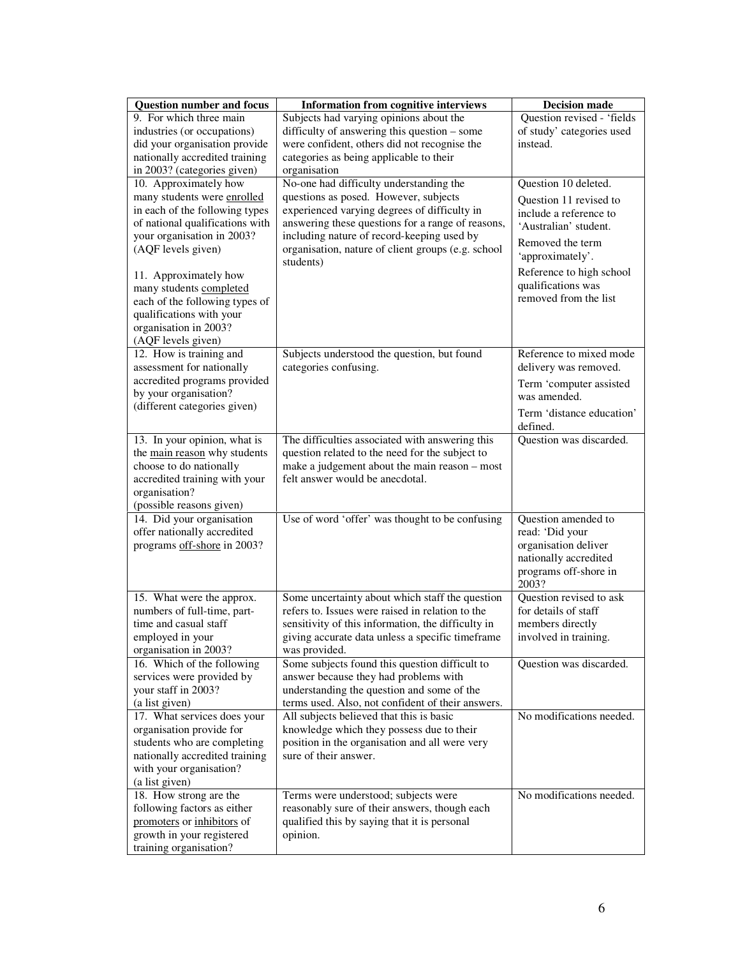| <b>Question number and focus</b>                 | <b>Information from cognitive interviews</b>                                                    | <b>Decision made</b>                  |
|--------------------------------------------------|-------------------------------------------------------------------------------------------------|---------------------------------------|
| 9. For which three main                          | Subjects had varying opinions about the                                                         | Question revised - 'fields            |
| industries (or occupations)                      | difficulty of answering this question – some                                                    | of study' categories used             |
| did your organisation provide                    | were confident, others did not recognise the                                                    | instead.                              |
| nationally accredited training                   | categories as being applicable to their                                                         |                                       |
| in 2003? (categories given)                      | organisation                                                                                    |                                       |
| 10. Approximately how                            | No-one had difficulty understanding the                                                         | Question 10 deleted.                  |
| many students were enrolled                      | questions as posed. However, subjects                                                           | Question 11 revised to                |
| in each of the following types                   | experienced varying degrees of difficulty in                                                    | include a reference to                |
| of national qualifications with                  | answering these questions for a range of reasons,                                               | 'Australian' student.                 |
| your organisation in 2003?                       | including nature of record-keeping used by                                                      | Removed the term                      |
| (AQF levels given)                               | organisation, nature of client groups (e.g. school                                              | 'approximately'.                      |
|                                                  | students)                                                                                       | Reference to high school              |
| 11. Approximately how<br>many students completed |                                                                                                 | qualifications was                    |
| each of the following types of                   |                                                                                                 | removed from the list                 |
| qualifications with your                         |                                                                                                 |                                       |
| organisation in 2003?                            |                                                                                                 |                                       |
| (AQF levels given)                               |                                                                                                 |                                       |
| 12. How is training and                          | Subjects understood the question, but found                                                     | Reference to mixed mode               |
| assessment for nationally                        | categories confusing.                                                                           | delivery was removed.                 |
| accredited programs provided                     |                                                                                                 | Term 'computer assisted               |
| by your organisation?                            |                                                                                                 | was amended.                          |
| (different categories given)                     |                                                                                                 |                                       |
|                                                  |                                                                                                 | Term 'distance education'<br>defined. |
| 13. In your opinion, what is                     | The difficulties associated with answering this                                                 | Question was discarded.               |
| the main reason why students                     | question related to the need for the subject to                                                 |                                       |
| choose to do nationally                          | make a judgement about the main reason – most                                                   |                                       |
| accredited training with your                    | felt answer would be anecdotal.                                                                 |                                       |
| organisation?                                    |                                                                                                 |                                       |
| (possible reasons given)                         |                                                                                                 |                                       |
| 14. Did your organisation                        | Use of word 'offer' was thought to be confusing                                                 | Question amended to                   |
| offer nationally accredited                      |                                                                                                 | read: 'Did your                       |
| programs off-shore in 2003?                      |                                                                                                 | organisation deliver                  |
|                                                  |                                                                                                 | nationally accredited                 |
|                                                  |                                                                                                 | programs off-shore in                 |
|                                                  |                                                                                                 | 2003?                                 |
| 15. What were the approx.                        | Some uncertainty about which staff the question                                                 | Question revised to ask               |
| numbers of full-time, part-                      | refers to. Issues were raised in relation to the                                                | for details of staff                  |
| time and casual staff                            | sensitivity of this information, the difficulty in                                              | members directly                      |
| employed in your                                 | giving accurate data unless a specific timeframe                                                | involved in training.                 |
| organisation in 2003?                            | was provided.                                                                                   |                                       |
| 16. Which of the following                       | Some subjects found this question difficult to                                                  | Question was discarded.               |
| services were provided by                        | answer because they had problems with                                                           |                                       |
| your staff in 2003?                              | understanding the question and some of the<br>terms used. Also, not confident of their answers. |                                       |
| (a list given)<br>17. What services does your    | All subjects believed that this is basic                                                        | No modifications needed.              |
| organisation provide for                         | knowledge which they possess due to their                                                       |                                       |
| students who are completing                      | position in the organisation and all were very                                                  |                                       |
| nationally accredited training                   | sure of their answer.                                                                           |                                       |
| with your organisation?                          |                                                                                                 |                                       |
| (a list given)                                   |                                                                                                 |                                       |
| 18. How strong are the                           | Terms were understood; subjects were                                                            | No modifications needed.              |
| following factors as either                      | reasonably sure of their answers, though each                                                   |                                       |
| promoters or inhibitors of                       | qualified this by saying that it is personal                                                    |                                       |
| growth in your registered                        | opinion.                                                                                        |                                       |
| training organisation?                           |                                                                                                 |                                       |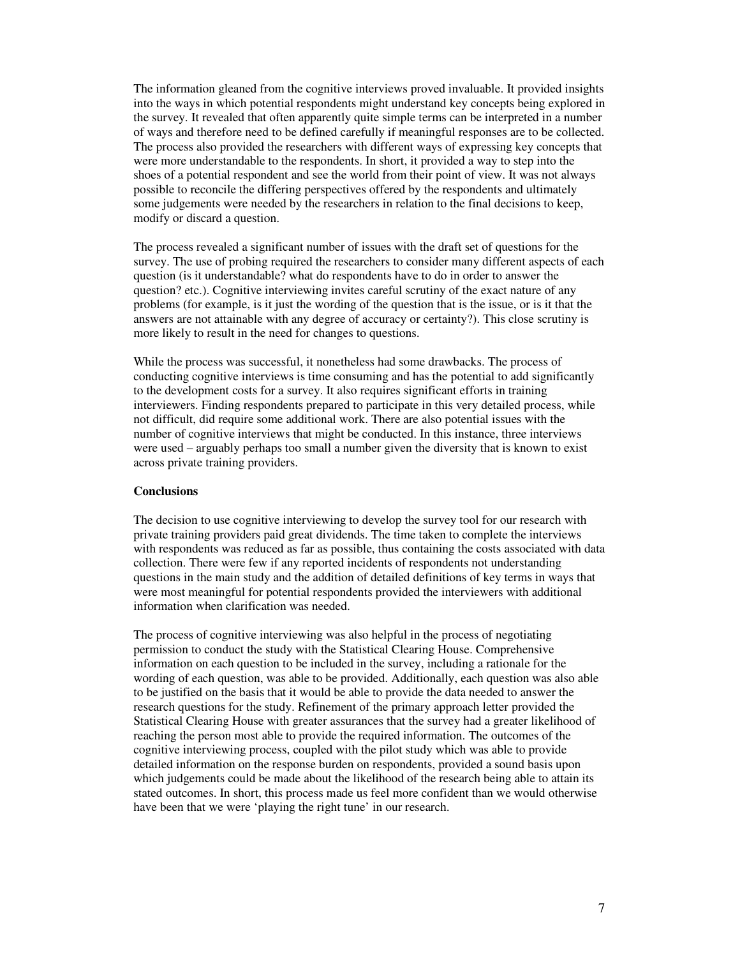The information gleaned from the cognitive interviews proved invaluable. It provided insights into the ways in which potential respondents might understand key concepts being explored in the survey. It revealed that often apparently quite simple terms can be interpreted in a number of ways and therefore need to be defined carefully if meaningful responses are to be collected. The process also provided the researchers with different ways of expressing key concepts that were more understandable to the respondents. In short, it provided a way to step into the shoes of a potential respondent and see the world from their point of view. It was not always possible to reconcile the differing perspectives offered by the respondents and ultimately some judgements were needed by the researchers in relation to the final decisions to keep, modify or discard a question.

The process revealed a significant number of issues with the draft set of questions for the survey. The use of probing required the researchers to consider many different aspects of each question (is it understandable? what do respondents have to do in order to answer the question? etc.). Cognitive interviewing invites careful scrutiny of the exact nature of any problems (for example, is it just the wording of the question that is the issue, or is it that the answers are not attainable with any degree of accuracy or certainty?). This close scrutiny is more likely to result in the need for changes to questions.

While the process was successful, it nonetheless had some drawbacks. The process of conducting cognitive interviews is time consuming and has the potential to add significantly to the development costs for a survey. It also requires significant efforts in training interviewers. Finding respondents prepared to participate in this very detailed process, while not difficult, did require some additional work. There are also potential issues with the number of cognitive interviews that might be conducted. In this instance, three interviews were used – arguably perhaps too small a number given the diversity that is known to exist across private training providers.

### **Conclusions**

The decision to use cognitive interviewing to develop the survey tool for our research with private training providers paid great dividends. The time taken to complete the interviews with respondents was reduced as far as possible, thus containing the costs associated with data collection. There were few if any reported incidents of respondents not understanding questions in the main study and the addition of detailed definitions of key terms in ways that were most meaningful for potential respondents provided the interviewers with additional information when clarification was needed.

The process of cognitive interviewing was also helpful in the process of negotiating permission to conduct the study with the Statistical Clearing House. Comprehensive information on each question to be included in the survey, including a rationale for the wording of each question, was able to be provided. Additionally, each question was also able to be justified on the basis that it would be able to provide the data needed to answer the research questions for the study. Refinement of the primary approach letter provided the Statistical Clearing House with greater assurances that the survey had a greater likelihood of reaching the person most able to provide the required information. The outcomes of the cognitive interviewing process, coupled with the pilot study which was able to provide detailed information on the response burden on respondents, provided a sound basis upon which judgements could be made about the likelihood of the research being able to attain its stated outcomes. In short, this process made us feel more confident than we would otherwise have been that we were 'playing the right tune' in our research.